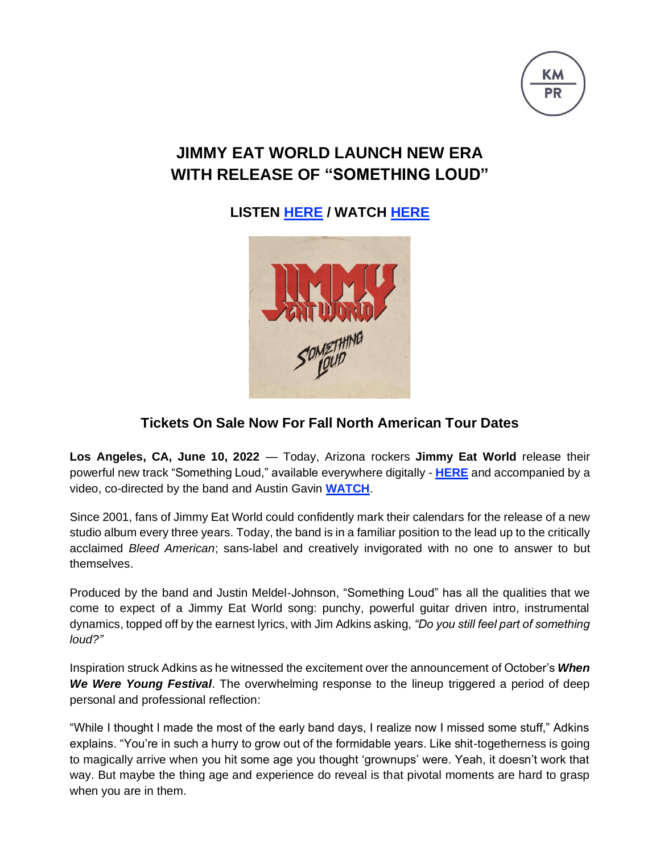

## **JIMMY EAT WORLD LAUNCH NEW ERA WITH RELEASE OF "SOMETHING LOUD"**

**LISTEN [HERE](https://jimmyeatworld.lnk.to/SomethingLoud) / WATCH [HERE](https://youtu.be/VOWnhMxJMMk)**



## **Tickets On Sale Now For Fall North American Tour Dates**

**Los Angeles, CA, June 10, 2022** — Today, Arizona rockers **Jimmy Eat World** release their powerful new track "Something Loud," available everywhere digitally - **[HERE](https://jimmyeatworld.lnk.to/SomethingLoud)** and accompanied by a video, co-directed by the band and Austin Gavin **[WATCH](https://youtu.be/VOWnhMxJMMk)**.

Since 2001, fans of Jimmy Eat World could confidently mark their calendars for the release of a new studio album every three years. Today, the band is in a familiar position to the lead up to the critically acclaimed *Bleed American*; sans-label and creatively invigorated with no one to answer to but themselves.

Produced by the band and Justin Meldel-Johnson, "Something Loud" has all the qualities that we come to expect of a Jimmy Eat World song: punchy, powerful guitar driven intro, instrumental dynamics, topped off by the earnest lyrics, with Jim Adkins asking, *"Do you still feel part of something loud?"*

Inspiration struck Adkins as he witnessed the excitement over the announcement of October's *When We Were Young Festival*. The overwhelming response to the lineup triggered a period of deep personal and professional reflection:

"While I thought I made the most of the early band days, I realize now I missed some stuff," Adkins explains. "You're in such a hurry to grow out of the formidable years. Like shit-togetherness is going to magically arrive when you hit some age you thought 'grownups' were. Yeah, it doesn't work that way. But maybe the thing age and experience do reveal is that pivotal moments are hard to grasp when you are in them.